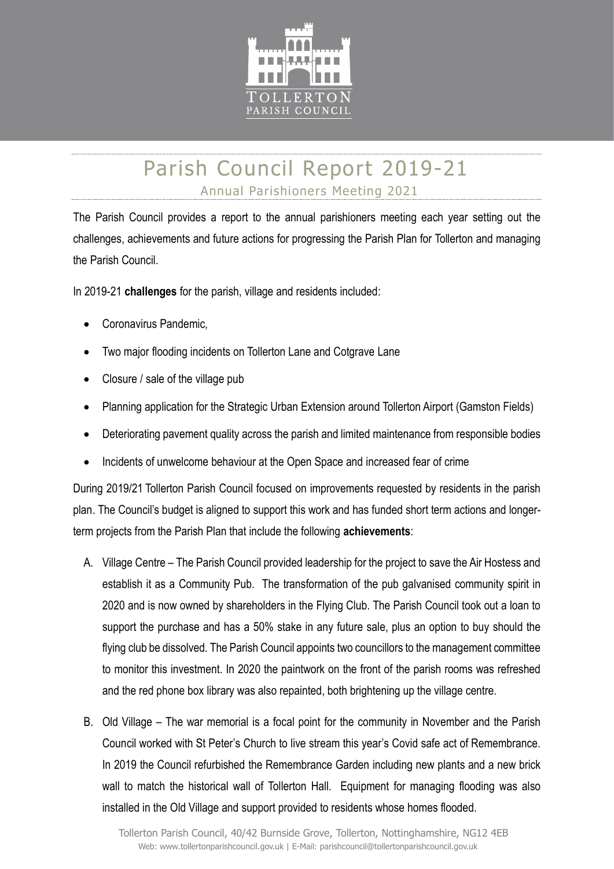

## Parish Council Report 2019-21 Annual Parishioners Meeting 2021

The Parish Council provides a report to the annual parishioners meeting each year setting out the challenges, achievements and future actions for progressing the Parish Plan for Tollerton and managing the Parish Council.

In 2019-21 challenges for the parish, village and residents included:

- Coronavirus Pandemic,
- Two major flooding incidents on Tollerton Lane and Cotgrave Lane
- Closure / sale of the village pub
- Planning application for the Strategic Urban Extension around Tollerton Airport (Gamston Fields)
- Deteriorating pavement quality across the parish and limited maintenance from responsible bodies
- Incidents of unwelcome behaviour at the Open Space and increased fear of crime

During 2019/21 Tollerton Parish Council focused on improvements requested by residents in the parish plan. The Council's budget is aligned to support this work and has funded short term actions and longerterm projects from the Parish Plan that include the following achievements:

- A. Village Centre The Parish Council provided leadership for the project to save the Air Hostess and establish it as a Community Pub. The transformation of the pub galvanised community spirit in 2020 and is now owned by shareholders in the Flying Club. The Parish Council took out a loan to support the purchase and has a 50% stake in any future sale, plus an option to buy should the flying club be dissolved. The Parish Council appoints two councillors to the management committee to monitor this investment. In 2020 the paintwork on the front of the parish rooms was refreshed and the red phone box library was also repainted, both brightening up the village centre.
- B. Old Village The war memorial is a focal point for the community in November and the Parish Council worked with St Peter's Church to live stream this year's Covid safe act of Remembrance. In 2019 the Council refurbished the Remembrance Garden including new plants and a new brick wall to match the historical wall of Tollerton Hall. Equipment for managing flooding was also installed in the Old Village and support provided to residents whose homes flooded.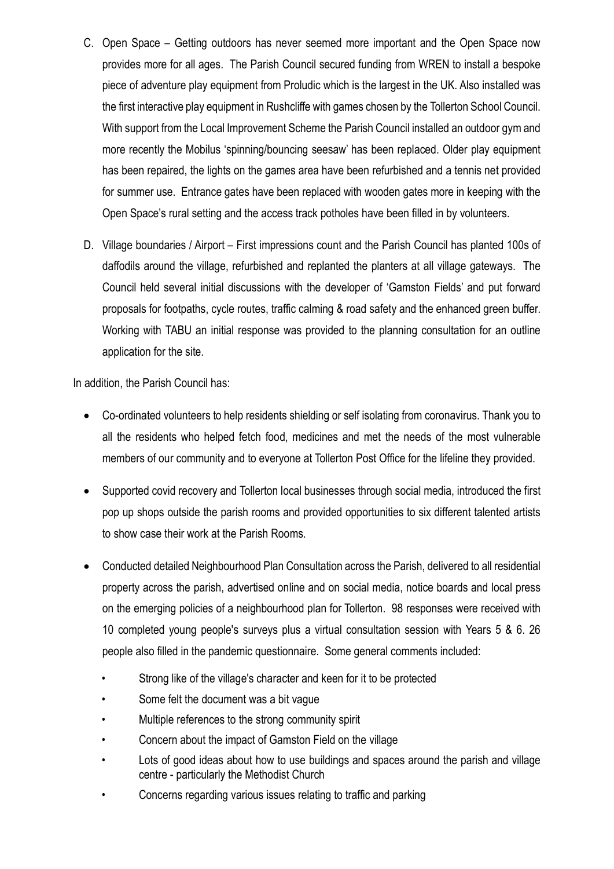- C. Open Space Getting outdoors has never seemed more important and the Open Space now provides more for all ages. The Parish Council secured funding from WREN to install a bespoke piece of adventure play equipment from Proludic which is the largest in the UK. Also installed was the first interactive play equipment in Rushcliffe with games chosen by the Tollerton School Council. With support from the Local Improvement Scheme the Parish Council installed an outdoor gym and more recently the Mobilus 'spinning/bouncing seesaw' has been replaced. Older play equipment has been repaired, the lights on the games area have been refurbished and a tennis net provided for summer use. Entrance gates have been replaced with wooden gates more in keeping with the Open Space's rural setting and the access track potholes have been filled in by volunteers.
- D. Village boundaries / Airport First impressions count and the Parish Council has planted 100s of daffodils around the village, refurbished and replanted the planters at all village gateways. The Council held several initial discussions with the developer of 'Gamston Fields' and put forward proposals for footpaths, cycle routes, traffic calming & road safety and the enhanced green buffer. Working with TABU an initial response was provided to the planning consultation for an outline application for the site.

In addition, the Parish Council has:

- Co-ordinated volunteers to help residents shielding or self isolating from coronavirus. Thank you to all the residents who helped fetch food, medicines and met the needs of the most vulnerable members of our community and to everyone at Tollerton Post Office for the lifeline they provided.
- Supported covid recovery and Tollerton local businesses through social media, introduced the first pop up shops outside the parish rooms and provided opportunities to six different talented artists to show case their work at the Parish Rooms.
- Conducted detailed Neighbourhood Plan Consultation across the Parish, delivered to all residential property across the parish, advertised online and on social media, notice boards and local press on the emerging policies of a neighbourhood plan for Tollerton. 98 responses were received with 10 completed young people's surveys plus a virtual consultation session with Years 5 & 6. 26 people also filled in the pandemic questionnaire. Some general comments included:
	- Strong like of the village's character and keen for it to be protected
	- Some felt the document was a bit vaque
	- Multiple references to the strong community spirit
	- Concern about the impact of Gamston Field on the village
	- Lots of good ideas about how to use buildings and spaces around the parish and village centre - particularly the Methodist Church
	- Concerns regarding various issues relating to traffic and parking